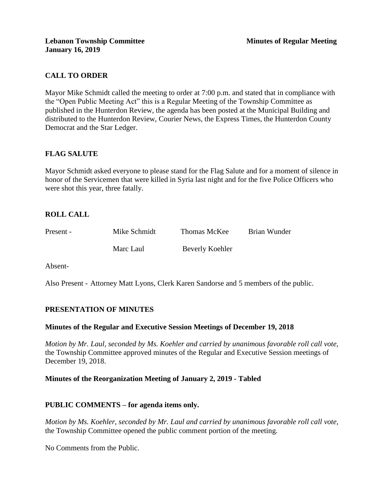# **CALL TO ORDER**

Mayor Mike Schmidt called the meeting to order at 7:00 p.m. and stated that in compliance with the "Open Public Meeting Act" this is a Regular Meeting of the Township Committee as published in the Hunterdon Review, the agenda has been posted at the Municipal Building and distributed to the Hunterdon Review, Courier News, the Express Times, the Hunterdon County Democrat and the Star Ledger.

# **FLAG SALUTE**

Mayor Schmidt asked everyone to please stand for the Flag Salute and for a moment of silence in honor of the Servicemen that were killed in Syria last night and for the five Police Officers who were shot this year, three fatally.

# **ROLL CALL**

| Present - | Mike Schmidt | Thomas McKee    | Brian Wunder |
|-----------|--------------|-----------------|--------------|
|           | Marc Laul    | Beverly Koehler |              |

Absent-

Also Present - Attorney Matt Lyons, Clerk Karen Sandorse and 5 members of the public.

# **PRESENTATION OF MINUTES**

### **Minutes of the Regular and Executive Session Meetings of December 19, 2018**

*Motion by Mr. Laul, seconded by Ms. Koehler and carried by unanimous favorable roll call vote,* the Township Committee approved minutes of the Regular and Executive Session meetings of December 19, 2018.

### **Minutes of the Reorganization Meeting of January 2, 2019 - Tabled**

# **PUBLIC COMMENTS – for agenda items only.**

*Motion by Ms. Koehler, seconded by Mr. Laul and carried by unanimous favorable roll call vote,* the Township Committee opened the public comment portion of the meeting.

No Comments from the Public.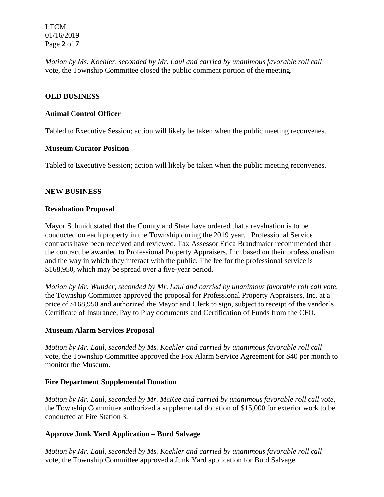LTCM 01/16/2019 Page **2** of **7**

*Motion by Ms. Koehler, seconded by Mr. Laul and carried by unanimous favorable roll call*  vote*,* the Township Committee closed the public comment portion of the meeting.

## **OLD BUSINESS**

### **Animal Control Officer**

Tabled to Executive Session; action will likely be taken when the public meeting reconvenes.

### **Museum Curator Position**

Tabled to Executive Session; action will likely be taken when the public meeting reconvenes.

### **NEW BUSINESS**

### **Revaluation Proposal**

Mayor Schmidt stated that the County and State have ordered that a revaluation is to be conducted on each property in the Township during the 2019 year. Professional Service contracts have been received and reviewed. Tax Assessor Erica Brandmaier recommended that the contract be awarded to Professional Property Appraisers, Inc. based on their professionalism and the way in which they interact with the public. The fee for the professional service is \$168,950, which may be spread over a five-year period.

*Motion by Mr. Wunder, seconded by Mr. Laul and carried by unanimous favorable roll call vote,* the Township Committee approved the proposal for Professional Property Appraisers, Inc. at a price of \$168,950 and authorized the Mayor and Clerk to sign, subject to receipt of the vendor's Certificate of Insurance, Pay to Play documents and Certification of Funds from the CFO.

### **Museum Alarm Services Proposal**

*Motion by Mr. Laul, seconded by Ms. Koehler and carried by unanimous favorable roll call*  vote, the Township Committee approved the Fox Alarm Service Agreement for \$40 per month to monitor the Museum.

# **Fire Department Supplemental Donation**

*Motion by Mr. Laul, seconded by Mr. McKee and carried by unanimous favorable roll call vote,* the Township Committee authorized a supplemental donation of \$15,000 for exterior work to be conducted at Fire Station 3.

# **Approve Junk Yard Application – Burd Salvage**

*Motion by Mr. Laul, seconded by Ms. Koehler and carried by unanimous favorable roll call* vote, the Township Committee approved a Junk Yard application for Burd Salvage.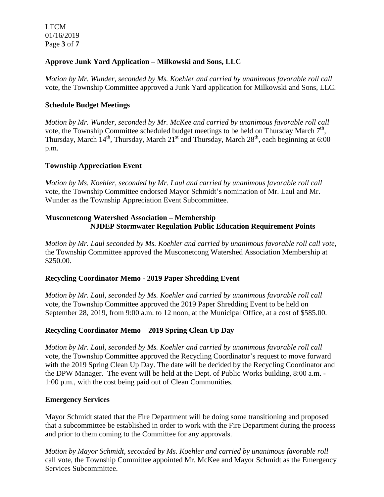LTCM 01/16/2019 Page **3** of **7**

# **Approve Junk Yard Application – Milkowski and Sons, LLC**

*Motion by Mr. Wunder, seconded by Ms. Koehler and carried by unanimous favorable roll call*  vote, the Township Committee approved a Junk Yard application for Milkowski and Sons, LLC.

### **Schedule Budget Meetings**

*Motion by Mr. Wunder, seconded by Mr. McKee and carried by unanimous favorable roll call*  vote, the Township Committee scheduled budget meetings to be held on Thursday March  $7<sup>th</sup>$ , Thursday, March  $14<sup>th</sup>$ , Thursday, March  $21<sup>st</sup>$  and Thursday, March  $28<sup>th</sup>$ , each beginning at 6:00 p.m.

### **Township Appreciation Event**

*Motion by Ms. Koehler, seconded by Mr. Laul and carried by unanimous favorable roll call*  vote, the Township Committee endorsed Mayor Schmidt's nomination of Mr. Laul and Mr. Wunder as the Township Appreciation Event Subcommittee.

## **Musconetcong Watershed Association – Membership NJDEP Stormwater Regulation Public Education Requirement Points**

*Motion by Mr. Laul seconded by Ms. Koehler and carried by unanimous favorable roll call vote,* the Township Committee approved the Musconetcong Watershed Association Membership at \$250.00.

# **Recycling Coordinator Memo - 2019 Paper Shredding Event**

*Motion by Mr. Laul, seconded by Ms. Koehler and carried by unanimous favorable roll call*  vote, the Township Committee approved the 2019 Paper Shredding Event to be held on September 28, 2019, from 9:00 a.m. to 12 noon, at the Municipal Office, at a cost of \$585.00.

# **Recycling Coordinator Memo – 2019 Spring Clean Up Day**

*Motion by Mr. Laul, seconded by Ms. Koehler and carried by unanimous favorable roll call*  vote, the Township Committee approved the Recycling Coordinator's request to move forward with the 2019 Spring Clean Up Day. The date will be decided by the Recycling Coordinator and the DPW Manager. The event will be held at the Dept. of Public Works building, 8:00 a.m. - 1:00 p.m., with the cost being paid out of Clean Communities.

### **Emergency Services**

Mayor Schmidt stated that the Fire Department will be doing some transitioning and proposed that a subcommittee be established in order to work with the Fire Department during the process and prior to them coming to the Committee for any approvals.

*Motion by Mayor Schmidt, seconded by Ms. Koehler and carried by unanimous favorable roll*  call vote, the Township Committee appointed Mr. McKee and Mayor Schmidt as the Emergency Services Subcommittee.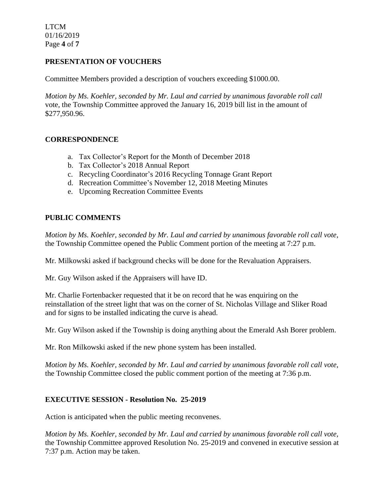LTCM 01/16/2019 Page **4** of **7**

# **PRESENTATION OF VOUCHERS**

Committee Members provided a description of vouchers exceeding \$1000.00.

*Motion by Ms. Koehler, seconded by Mr. Laul and carried by unanimous favorable roll call*  vote, the Township Committee approved the January 16, 2019 bill list in the amount of \$277,950.96.

### **CORRESPONDENCE**

- a. Tax Collector's Report for the Month of December 2018
- b. Tax Collector's 2018 Annual Report
- c. Recycling Coordinator's 2016 Recycling Tonnage Grant Report
- d. Recreation Committee's November 12, 2018 Meeting Minutes
- e. Upcoming Recreation Committee Events

### **PUBLIC COMMENTS**

*Motion by Ms. Koehler, seconded by Mr. Laul and carried by unanimous favorable roll call vote,* the Township Committee opened the Public Comment portion of the meeting at 7:27 p.m.

Mr. Milkowski asked if background checks will be done for the Revaluation Appraisers.

Mr. Guy Wilson asked if the Appraisers will have ID.

Mr. Charlie Fortenbacker requested that it be on record that he was enquiring on the reinstallation of the street light that was on the corner of St. Nicholas Village and Sliker Road and for signs to be installed indicating the curve is ahead.

Mr. Guy Wilson asked if the Township is doing anything about the Emerald Ash Borer problem.

Mr. Ron Milkowski asked if the new phone system has been installed.

*Motion by Ms. Koehler, seconded by Mr. Laul and carried by unanimous favorable roll call vote,* the Township Committee closed the public comment portion of the meeting at 7:36 p.m.

### **EXECUTIVE SESSION - Resolution No. 25-2019**

Action is anticipated when the public meeting reconvenes.

*Motion by Ms. Koehler, seconded by Mr. Laul and carried by unanimous favorable roll call vote,* the Township Committee approved Resolution No. 25-2019 and convened in executive session at 7:37 p.m. Action may be taken.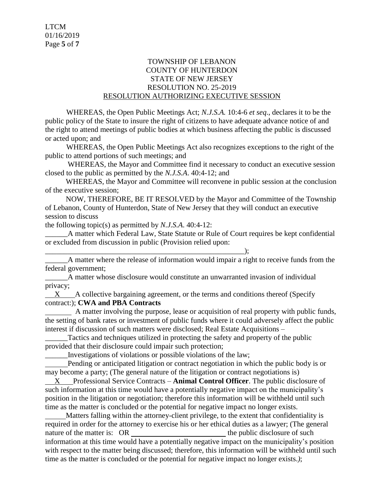### TOWNSHIP OF LEBANON COUNTY OF HUNTERDON STATE OF NEW JERSEY RESOLUTION NO. 25-2019 RESOLUTION AUTHORIZING EXECUTIVE SESSION

WHEREAS, the Open Public Meetings Act; *N.J.S.A.* 10:4-6 *et seq*., declares it to be the public policy of the State to insure the right of citizens to have adequate advance notice of and the right to attend meetings of public bodies at which business affecting the public is discussed or acted upon; and

WHEREAS, the Open Public Meetings Act also recognizes exceptions to the right of the public to attend portions of such meetings; and

 WHEREAS, the Mayor and Committee find it necessary to conduct an executive session closed to the public as permitted by the *N.J.S.A*. 40:4-12; and

 WHEREAS, the Mayor and Committee will reconvene in public session at the conclusion of the executive session;

 NOW, THEREFORE, BE IT RESOLVED by the Mayor and Committee of the Township of Lebanon, County of Hunterdon, State of New Jersey that they will conduct an executive session to discuss

the following topic(s) as permitted by *N.J.S.A*. 40:4-12:

\_\_\_\_\_\_A matter which Federal Law, State Statute or Rule of Court requires be kept confidential or excluded from discussion in public (Provision relied upon:

\_\_\_\_\_\_\_\_\_\_\_\_\_\_\_\_\_\_\_\_\_\_\_\_\_\_\_\_\_\_\_\_\_\_\_\_\_\_\_\_\_\_\_\_\_\_\_\_\_\_\_\_\_); A matter where the release of information would impair a right to receive funds from the federal government;

\_\_\_\_\_\_A matter whose disclosure would constitute an unwarranted invasion of individual privacy;

 $X$  A collective bargaining agreement, or the terms and conditions thereof (Specify contract:); **CWA and PBA Contracts**

 A matter involving the purpose, lease or acquisition of real property with public funds, the setting of bank rates or investment of public funds where it could adversely affect the public interest if discussion of such matters were disclosed; Real Estate Acquisitions –

\_\_\_\_\_\_Tactics and techniques utilized in protecting the safety and property of the public provided that their disclosure could impair such protection;

\_\_\_\_\_\_Investigations of violations or possible violations of the law;

 Pending or anticipated litigation or contract negotiation in which the public body is or may become a party; (The general nature of the litigation or contract negotiations is)

 X Professional Service Contracts – **Animal Control Officer**. The public disclosure of such information at this time would have a potentially negative impact on the municipality's position in the litigation or negotiation; therefore this information will be withheld until such time as the matter is concluded or the potential for negative impact no longer exists.

 Matters falling within the attorney-client privilege, to the extent that confidentiality is required in order for the attorney to exercise his or her ethical duties as a lawyer; (The general nature of the matter is: OR the public disclosure of such the public disclosure of such the public disclosure of such the public disclosure of such the public disclosure of such the public disclosure of such the public dis information at this time would have a potentially negative impact on the municipality's position with respect to the matter being discussed; therefore, this information will be withheld until such time as the matter is concluded or the potential for negative impact no longer exists.*)*;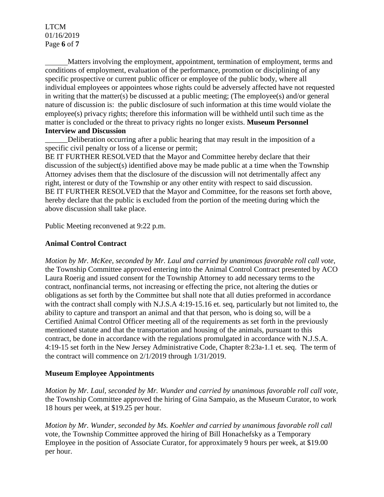### LTCM 01/16/2019 Page **6** of **7**

 Matters involving the employment, appointment, termination of employment, terms and conditions of employment, evaluation of the performance, promotion or disciplining of any specific prospective or current public officer or employee of the public body, where all individual employees or appointees whose rights could be adversely affected have not requested in writing that the matter(s) be discussed at a public meeting; (The employee(s) and/or general nature of discussion is: the public disclosure of such information at this time would violate the employee(s) privacy rights; therefore this information will be withheld until such time as the matter is concluded or the threat to privacy rights no longer exists. **Museum Personnel Interview and Discussion**

\_\_\_\_\_\_Deliberation occurring after a public hearing that may result in the imposition of a specific civil penalty or loss of a license or permit;

BE IT FURTHER RESOLVED that the Mayor and Committee hereby declare that their discussion of the subject(s) identified above may be made public at a time when the Township Attorney advises them that the disclosure of the discussion will not detrimentally affect any right, interest or duty of the Township or any other entity with respect to said discussion. BE IT FURTHER RESOLVED that the Mayor and Committee, for the reasons set forth above, hereby declare that the public is excluded from the portion of the meeting during which the above discussion shall take place.

Public Meeting reconvened at 9:22 p.m.

### **Animal Control Contract**

*Motion by Mr. McKee, seconded by Mr. Laul and carried by unanimous favorable roll call vote,* the Township Committee approved entering into the Animal Control Contract presented by ACO Laura Roerig and issued consent for the Township Attorney to add necessary terms to the contract, nonfinancial terms, not increasing or effecting the price, not altering the duties or obligations as set forth by the Committee but shall note that all duties preformed in accordance with the contract shall comply with N.J.S.A 4:19-15.16 et. seq, particularly but not limited to, the ability to capture and transport an animal and that that person, who is doing so, will be a Certified Animal Control Officer meeting all of the requirements as set forth in the previously mentioned statute and that the transportation and housing of the animals, pursuant to this contract, be done in accordance with the regulations promulgated in accordance with N.J.S.A. 4:19-15 set forth in the New Jersey Administrative Code, Chapter 8:23a-1.1 et. seq. The term of the contract will commence on 2/1/2019 through 1/31/2019.

### **Museum Employee Appointments**

*Motion by Mr. Laul, seconded by Mr. Wunder and carried by unanimous favorable roll call vote,* the Township Committee approved the hiring of Gina Sampaio, as the Museum Curator, to work 18 hours per week, at \$19.25 per hour.

*Motion by Mr. Wunder, seconded by Ms. Koehler and carried by unanimous favorable roll call*  vote, the Township Committee approved the hiring of Bill Honachefsky as a Temporary Employee in the position of Associate Curator, for approximately 9 hours per week, at \$19.00 per hour.